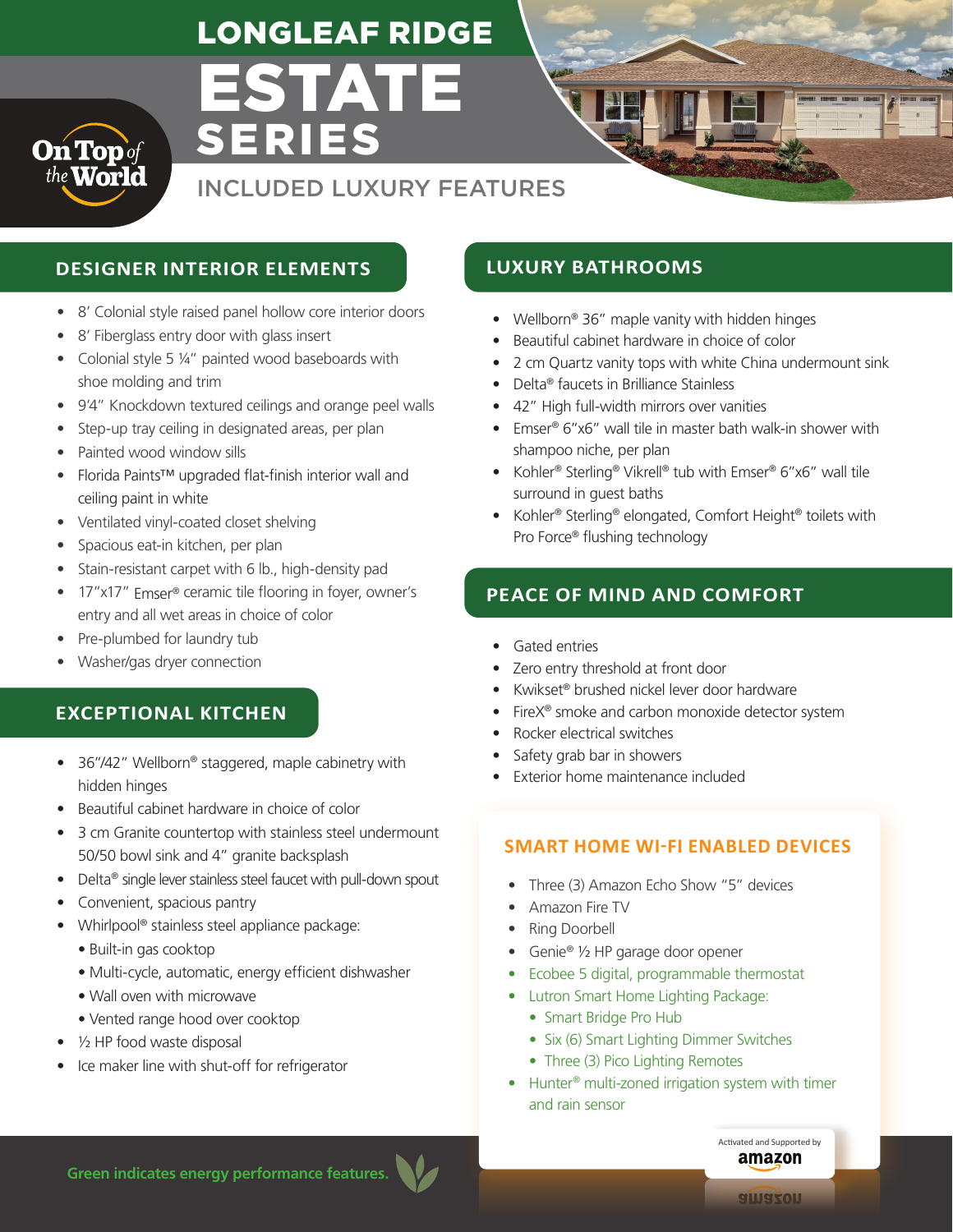# ESTATE LONGLEAF RIDGE



INCLUDED LUXURY FEATURES

# **DESIGNER INTERIOR ELEMENTS LUXURY BATHROOMS**

• 8' Colonial style raised panel hollow core interior doors

SERIES

- 8' Fiberglass entry door with glass insert
- Colonial style 5 ¼" painted wood baseboards with shoe molding and trim
- 9'4" Knockdown textured ceilings and orange peel walls
- Step-up tray ceiling in designated areas, per plan
- Painted wood window sills
- Florida Paints™ upgraded flat-finish interior wall and ceiling paint in white
- Ventilated vinyl-coated closet shelving
- Spacious eat-in kitchen, per plan
- Stain-resistant carpet with 6 lb., high-density pad
- 17"x17" Emser<sup>®</sup> ceramic tile flooring in foyer, owner's entry and all wet areas in choice of color
- Pre-plumbed for laundry tub
- Washer/gas dryer connection

# **EXCEPTIONAL KITCHEN**

- 36"/42" Wellborn® staggered, maple cabinetry with hidden hinges
- Beautiful cabinet hardware in choice of color
- 3 cm Granite countertop with stainless steel undermount 50/50 bowl sink and 4" granite backsplash
- Delta<sup>®</sup> single lever stainless steel faucet with pull-down spout
- Convenient, spacious pantry
- Whirlpool® stainless steel appliance package:
	- Built-in gas cooktop
	- Multi-cycle, automatic, energy efficient dishwasher
	- Wall oven with microwave
	- Vented range hood over cooktop
- 1/2 HP food waste disposal
- Ice maker line with shut-off for refrigerator

- Wellborn® 36" maple vanity with hidden hinges
- Beautiful cabinet hardware in choice of color
- 2 cm Quartz vanity tops with white China undermount sink
- Delta® faucets in Brilliance Stainless
- 42" High full-width mirrors over vanities
- Emser® 6"x6" wall tile in master bath walk-in shower with shampoo niche, per plan
- Kohler® Sterling® Vikrell® tub with Emser® 6"x6" wall tile surround in guest baths
- Kohler® Sterling® elongated, Comfort Height® toilets with Pro Force® flushing technology

# **PEACE OF MIND AND COMFORT**

- Gated entries
- Zero entry threshold at front door
- Kwikset® brushed nickel lever door hardware
- FireX® smoke and carbon monoxide detector system
- Rocker electrical switches
- Safety grab bar in showers
- Exterior home maintenance included

### **SMART HOME WI-FI ENABLED DEVICES**

- Three (3) Amazon Echo Show "5" devices
- Amazon Fire TV
- Ring Doorbell
- Genie® 1/2 HP garage door opener
- Ecobee 5 digital, programmable thermostat
- Lutron Smart Home Lighting Package:
	- Smart Bridge Pro Hub
	- Six (6) Smart Lighting Dimmer Switches
	- Three (3) Pico Lighting Remotes
- Hunter<sup>®</sup> multi-zoned irrigation system with timer and rain sensor

**Green indicates energy performance features.**

amazon

Activated and Supported by